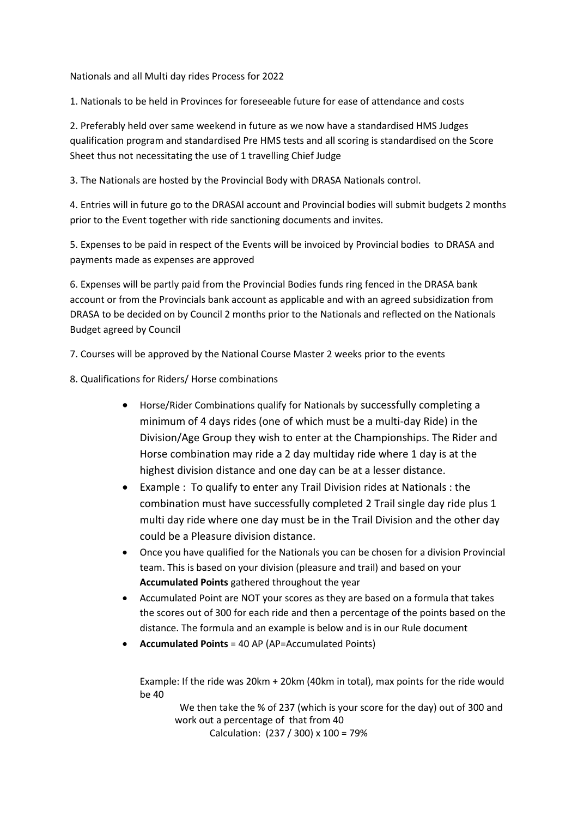Nationals and all Multi day rides Process for 2022

1. Nationals to be held in Provinces for foreseeable future for ease of attendance and costs

2. Preferably held over same weekend in future as we now have a standardised HMS Judges qualification program and standardised Pre HMS tests and all scoring is standardised on the Score Sheet thus not necessitating the use of 1 travelling Chief Judge

3. The Nationals are hosted by the Provincial Body with DRASA Nationals control.

4. Entries will in future go to the DRASAl account and Provincial bodies will submit budgets 2 months prior to the Event together with ride sanctioning documents and invites.

5. Expenses to be paid in respect of the Events will be invoiced by Provincial bodies to DRASA and payments made as expenses are approved

6. Expenses will be partly paid from the Provincial Bodies funds ring fenced in the DRASA bank account or from the Provincials bank account as applicable and with an agreed subsidization from DRASA to be decided on by Council 2 months prior to the Nationals and reflected on the Nationals Budget agreed by Council

7. Courses will be approved by the National Course Master 2 weeks prior to the events

8. Qualifications for Riders/ Horse combinations

- Horse/Rider Combinations qualify for Nationals by successfully completing a minimum of 4 days rides (one of which must be a multi-day Ride) in the Division/Age Group they wish to enter at the Championships. The Rider and Horse combination may ride a 2 day multiday ride where 1 day is at the highest division distance and one day can be at a lesser distance.
- Example : To qualify to enter any Trail Division rides at Nationals : the combination must have successfully completed 2 Trail single day ride plus 1 multi day ride where one day must be in the Trail Division and the other day could be a Pleasure division distance.
- Once you have qualified for the Nationals you can be chosen for a division Provincial team. This is based on your division (pleasure and trail) and based on your **Accumulated Points** gathered throughout the year
- Accumulated Point are NOT your scores as they are based on a formula that takes the scores out of 300 for each ride and then a percentage of the points based on the distance. The formula and an example is below and is in our Rule document
- **Accumulated Points** = 40 AP (AP=Accumulated Points)

Example: If the ride was 20km + 20km (40km in total), max points for the ride would be 40

 We then take the % of 237 (which is your score for the day) out of 300 and work out a percentage of that from 40 Calculation: (237 / 300) x 100 = 79%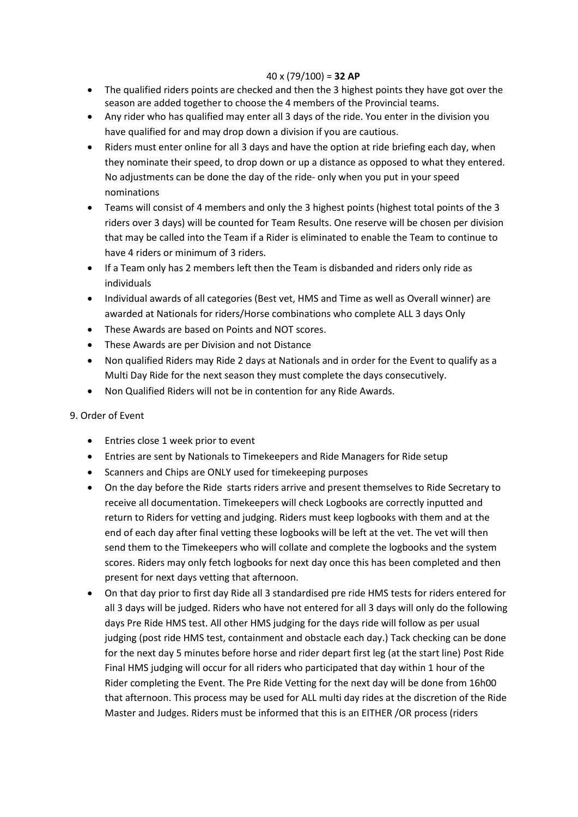## 40 x (79/100) = **32 AP**

- The qualified riders points are checked and then the 3 highest points they have got over the season are added together to choose the 4 members of the Provincial teams.
- Any rider who has qualified may enter all 3 days of the ride. You enter in the division you have qualified for and may drop down a division if you are cautious.
- Riders must enter online for all 3 days and have the option at ride briefing each day, when they nominate their speed, to drop down or up a distance as opposed to what they entered. No adjustments can be done the day of the ride- only when you put in your speed nominations
- Teams will consist of 4 members and only the 3 highest points (highest total points of the 3 riders over 3 days) will be counted for Team Results. One reserve will be chosen per division that may be called into the Team if a Rider is eliminated to enable the Team to continue to have 4 riders or minimum of 3 riders.
- If a Team only has 2 members left then the Team is disbanded and riders only ride as individuals
- Individual awards of all categories (Best vet, HMS and Time as well as Overall winner) are awarded at Nationals for riders/Horse combinations who complete ALL 3 days Only
- These Awards are based on Points and NOT scores.
- These Awards are per Division and not Distance
- Non qualified Riders may Ride 2 days at Nationals and in order for the Event to qualify as a Multi Day Ride for the next season they must complete the days consecutively.
- Non Qualified Riders will not be in contention for any Ride Awards.

## 9. Order of Event

- Entries close 1 week prior to event
- Entries are sent by Nationals to Timekeepers and Ride Managers for Ride setup
- Scanners and Chips are ONLY used for timekeeping purposes
- On the day before the Ride starts riders arrive and present themselves to Ride Secretary to receive all documentation. Timekeepers will check Logbooks are correctly inputted and return to Riders for vetting and judging. Riders must keep logbooks with them and at the end of each day after final vetting these logbooks will be left at the vet. The vet will then send them to the Timekeepers who will collate and complete the logbooks and the system scores. Riders may only fetch logbooks for next day once this has been completed and then present for next days vetting that afternoon.
- On that day prior to first day Ride all 3 standardised pre ride HMS tests for riders entered for all 3 days will be judged. Riders who have not entered for all 3 days will only do the following days Pre Ride HMS test. All other HMS judging for the days ride will follow as per usual judging (post ride HMS test, containment and obstacle each day.) Tack checking can be done for the next day 5 minutes before horse and rider depart first leg (at the start line) Post Ride Final HMS judging will occur for all riders who participated that day within 1 hour of the Rider completing the Event. The Pre Ride Vetting for the next day will be done from 16h00 that afternoon. This process may be used for ALL multi day rides at the discretion of the Ride Master and Judges. Riders must be informed that this is an EITHER /OR process (riders